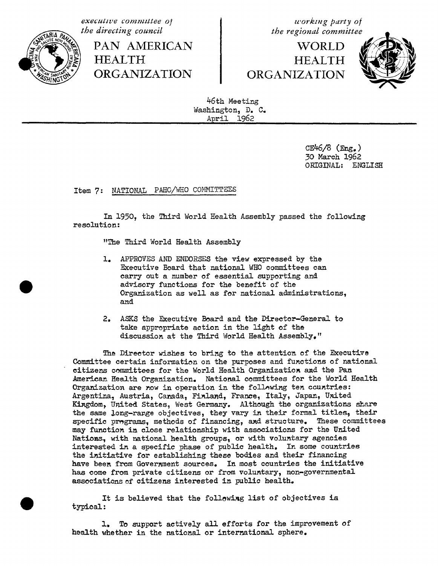**executive** committee of  $\begin{array}{c} \text{we have} \\ \text{the directional} \\ \text{the directional} \end{array}$ 



PAN AMERICAN **HEALTH** ORGANIZATION ORGANIZATION

the regional committee<br>WORLD<br>HEALTH



46th Meeting Washington, D. C. April 1962

> $CE46/8$  ( $Eng.$ ) 30 March 1962 ORIGINAL: ENGLISH

Item 7: NATIONAL PAHO**/**WHO COMMITTEES

In 1950, the Third World Health Assembly passed the following resolution:

"The Third World Health Assembly

- 1. APPROVES AND ENDORSES the view expressed by the Executive Board that national WHO committees can carry out a number of essential supporting and advisory functions for the benefit of the Organization as well as for national administrations, and
- 2. ASKS the Executive Board and the Director-General to take appropriate action in the light of the discussion at the Third World Health Assembly."

The Director wishes to bring to the attention of the Executive Committee certain information on the purposes and functions of national citizens committees for the World Health Organization a\_d the Pan American Health Organization. National committees for the World Health Organization are now in operation in the following ten countries: Argentina, Austria, Canada, Finland, France, Italy, Japan, United Kingdom, United States, West Germany. Although the organizations share the same long-rarge objectives, they vary in their formal titles, their specific programs, methods of financing, and structure. These committees may function in close relationship with associations for the United Nations, with national health groups, or with voluntary agencies interested in a specific phase of public health. In some countries the initiative for establishing these bodies and their financing have been from Government sources. In most countries the initiative has come from private citizens or from voluntary, non-governmental associations of citizens interested in public health.

It is believed that the following list of objectives is typical:

l. To support actively all efforts for the improvement of health whether in the national or international sphere.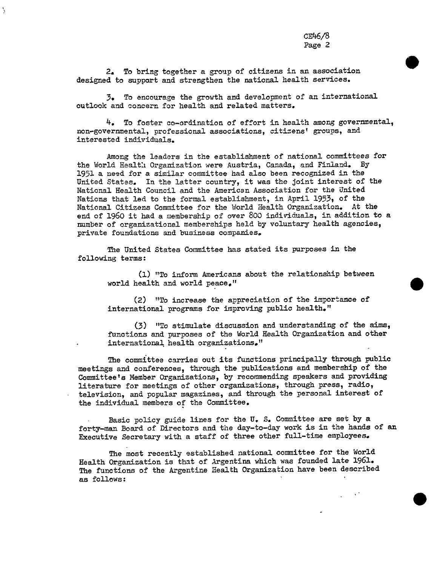2. To bring together a group of citizens in an association designed to support and strengthen the national health services.

3. To encourage the growth and development of an international outlook and concern for health and related matters.

4. To foster co-ordination of effort in health among governmental, non-governmental, professional associations, citizens' groups, and interested individuals.

Among the leaders in the establishment of national committees for the World Health Organization were Austria, Canada, and Finland. By 1951 a need for a similar committee had also been recognized in the United States. In the latter country, it was the joint interest of the National Health Council and the Americsn Association for the United Nations that led to the formal establishment, in April 1953, of the National Citizens Committee for the World Health Organization. At the end of 1960 it had a membership of over 800 individuals, in addition to a number of organizational memberships held by voluntary health agencies, private foundations and business companies.

The United States Committee has stated its purposes in the following terms:

(1) "To inform Americans about the relationship between world health and world peace,"

(2) "To increase the appreciation of the importance of international programs for improving public health."

(3) "To stimulate discussion and understanding of the aims, functions and purposes of the World Health Organization and other international health organizations."

The committee carries out its functions principally through public meetings and conferences, through the publications and membership of the Committee's Member Organizations, by recommending speakers and providing literature for meetings of other organizations, through press, radio, television, and popular magazines, and through the personal interest of the individual members of the Committee.

Basic policy guide lines for the U. S. Committee are set by a forty-man Board of Directors and the day-to-day work is in the hands of an Executive Secretary with a staff of three other full-time employees.

The most recently established national committee for the World Health Organization is that of Argentina which was founded late 1961. The functions of the Argentine Health Organization have been described as fellows: